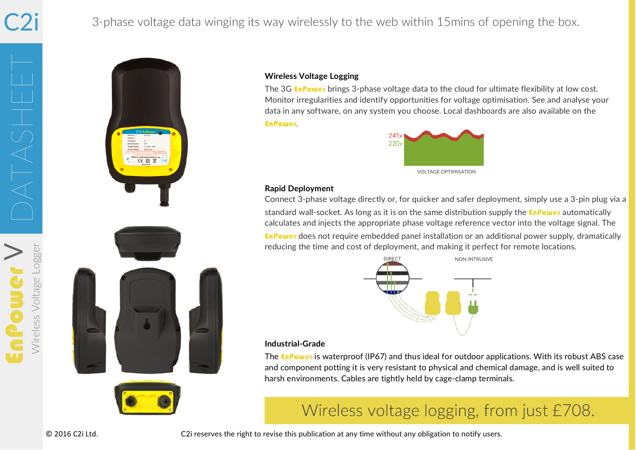# C2i

#### 3-phase voltage data winging its way wirelessly to the web within 15mins of opening the box.

Wireless Voltage Logger DATASHEET  $\bm{\gt}$ Wireless Voltage Logge





#### **Wireless Voltage Logging**

The 3G **EnPower** brings 3-phase voltage data to the cloud for ultimate flexibility at low cost. Monitor irregularities and identify opportunities for voltage optimisation. See and analyse your data in any software, on any system you choose. Local dashboards are also available on the EnPower.



#### **Rapid Deployment**

Connect 3-phase voltage directly or, for quicker and safer deployment, simply use a 3-pin plug via a standard wall-socket. As long as it is on the same distribution supply the **EnPower** automatically calculates and injects the appropriate phase voltage reference vector into the voltage signal. The EnPower does not require embedded panel installation or an additional power supply, dramatically reducing the time and cost of deployment, and making it perfect for remote locations.



#### **Industrial-Grade**

The **EnPower** is waterproof (IP67) and thus ideal for outdoor applications. With its robust ABS case and component potting it is very resistant to physical and chemical damage, and is well suited to harsh environments. Cables are tightly held by cage-clamp terminals.

# Wireless voltage logging, from just £708.

 © 2016 C2i Ltd. C2i reserves the right to revise this publication at any time without any obligation to notify users.